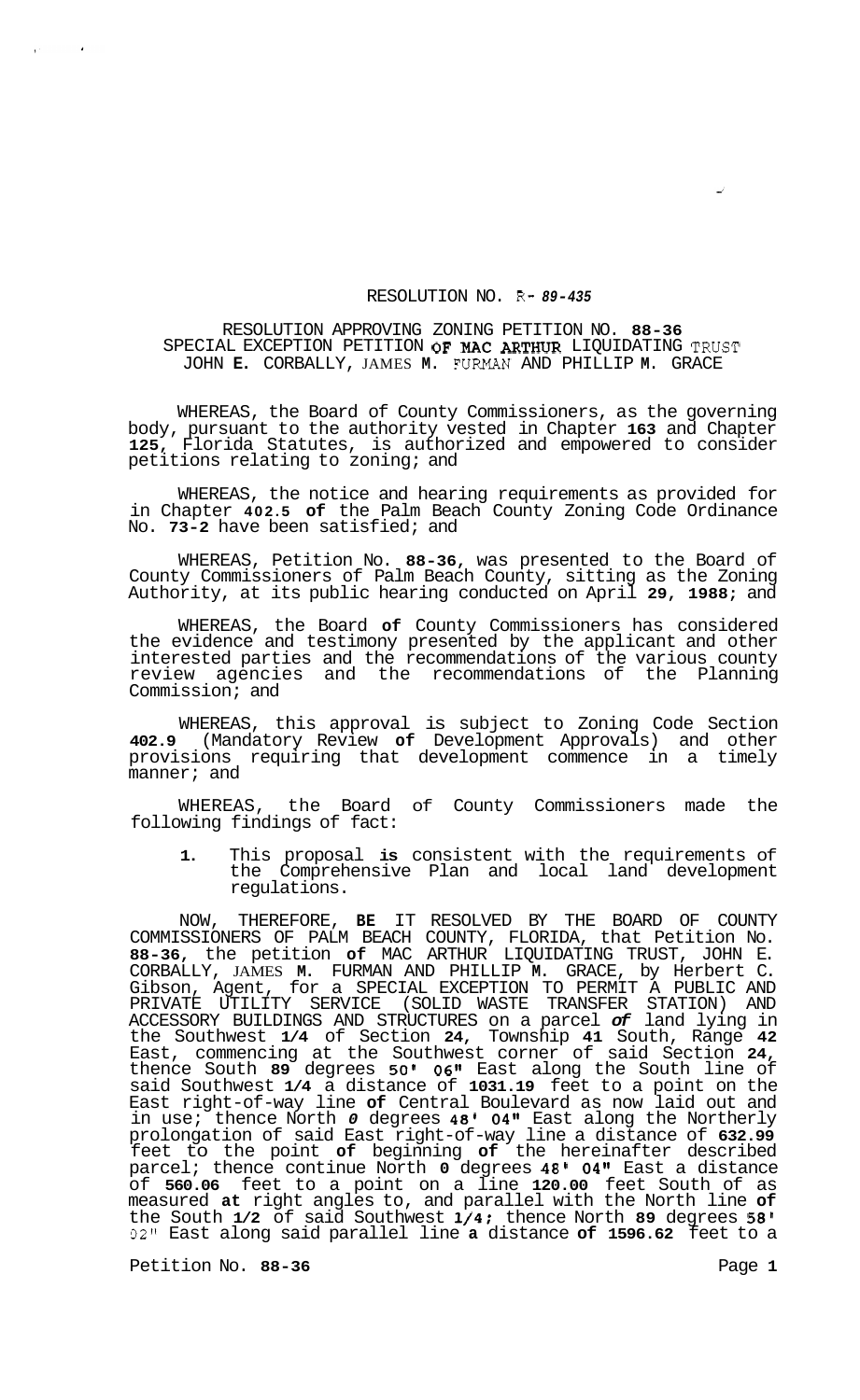## RESOLUTION NO. R- *89-435*

## RESOLUTION APPROVING ZONING PETITION NO. **88-36**  SPECIAL EXCEPTION PETITION OF MAC ARTHUR LIQUIDATING TRUST JOHN **E.** CORBALLY, JAMES **M.** FURMAN AND PHILLIP **M.** GRACE

WHEREAS, the Board of County Commissioners, as the governing body, pursuant to the authority vested in Chapter **163** and Chapter **125,** Florida Statutes, is authorized and empowered to consider petitions relating to zoning; and

WHEREAS, the notice and hearing requirements as provided for in Chapter **402.5 of** the Palm Beach County Zoning Code Ordinance No. **73-2** have been satisfied; and

WHEREAS, Petition No. **88-36,** was presented to the Board of County Commissioners of Palm Beach County, sitting as the Zoning Authority, at its public hearing conducted on April **29, 1988;** and

WHEREAS, the Board **of** County Commissioners has considered the evidence and testimony presented by the applicant and other interested parties and the recommendations of the various county review agencies and the recommendations of the Planning Commission; and

WHEREAS, this approval is subject to Zoning Code Section **402.9** (Mandatory Review **of** Development Approvals) and other provisions requiring that development commence in a timely manner; and

WHEREAS, the Board of County Commissioners made the following findings of fact:

**1.** This proposal **is** consistent with the requirements of the Comprehensive Plan and local land development regulations.

NOW, THEREFORE, **BE** IT RESOLVED BY THE BOARD OF COUNTY COMMISSIONERS OF PALM BEACH COUNTY, FLORIDA, that Petition No. **88-36,** the petition **of** MAC ARTHUR LIQUIDATING TRUST, JOHN E. CORBALLY, JAMES **M.** FURMAN AND PHILLIP **M.** GRACE, by Herbert C. Gibson, Agent, for a SPECIAL EXCEPTION TO PERMIT A PUBLIC AND PRIVATE UTILITY SERVICE (SOLID WASTE TRANSFER STATION) AND ACCESSORY BUILDINGS AND STRUCTURES on a parcel *of* land lying in the Southwest **1/4** of Section **24,** Township **41** South, Range **42**  East, commencing at the Southwest corner of said Section **24,**  thence South **89** degrees **50' 06"** East along the South line of said Southwest **1/4** a distance of **1031.19** feet to a point on the East right-of-way line **of** Central Boulevard as now laid out and in use; thence North *0* degrees **48' 04"** East along the Northerly prolongation of said East right-of-way line a distance of **632.99**  feet to the point **of** beginning **of** the hereinafter described parcel; thence continue North **0** degrees **48' 04"** East a distance of **560.06** feet to a point on a line **120.00** feet South of as measured **at** right angles to, and parallel with the North line **of**  the South **1/2** of said Southwest **1/4;** thence North **89** degrees *58'*  **02"** East along said parallel line **a** distance **of 1596.62** feet to a

Petition No. 88-36 **Page 1 Page 1** 

 $\mathcal{L}^{(n)}$  .

 $\sim$   $\alpha$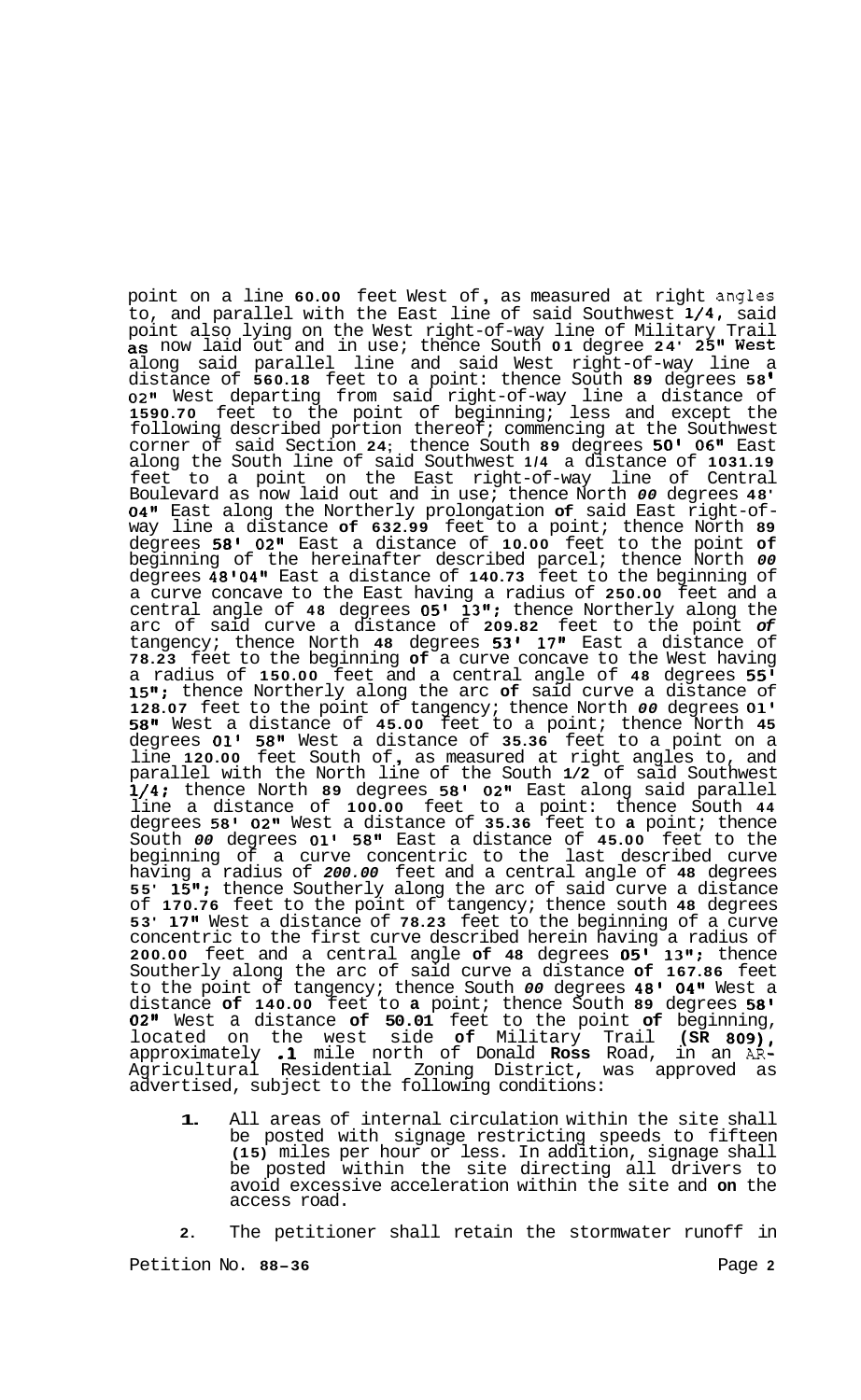point on a line **60.00** feet West of , as measured at right angles to, and parallel with the East line of said Southwest **1/4,** said point also lying on the West right-of-way line of Military Trail as now laid out and in use; thence South **01** degree **24' 25"** West along said parallel line and said West right-of-way line a distance of **560.18** feet to a point: thence South **89** degrees **58 0211** West departing from said right-of-way line a distance of **1590.70** feet to the point of beginning; less and except the following described portion thereof; commencing at the Southwest corner of said Section **24;** thence South **89** degrees **50' 06"** East along the South line of said Southwest **1/4** a distance of **1031.19**  feet to a point on the East right-of-way line of Central Boulevard as now laid out and in use; thence North *00* degrees **48' 04"** East along the Northerly prolongation **of** said East right-of- way line a distance **of 632.99** feet to a point; thence North **<sup>89</sup>** degrees **58' 02"** East a distance of **10.00** feet to the point **of**  beginning of the hereinafter described parcel; thence North *00*  degrees **48'04t1** East a distance of **140.73** feet to the beginning of a curve concave to the East having a radius of **250.00** feet and a central angle of **48** degrees **05' 13'l;** thence Northerly along the arc of said curve a distance of **209.82** feet to the point *of*  tangency; thence North **48** degrees **53' 17''** East a distance of **78.23** feet to the beginning **of** a curve concave to the West having a radius of **150.00** feet and a central angle of **48** degrees **55' 15";** thence Northerly along the arc **of** said curve a distance of **128.07** feet to the point of tangency; thence North *00* degrees **01' 58"** West a distance of **45.00** feet to a point; thence North **45**  degrees **01' 58"** West a distance of **35.36** feet to a point on a line **120.00** feet South of , as measured at right angles to, and parallel with the North line of the South **1/2** of said Southwest **1/4;** thence North **89** degrees **58' 02"** East along said parallel line a distance of **100.00** feet to a point: thence South **44**  degrees **58' 02"** West a distance of **35.36** feet to **a** point; thence South *00* degrees **01' 58"** East a distance of **45.00** feet to the beginning of a curve concentric to the last described curve having a radius of *200.00* feet and a central angle of **48** degrees **55' 15";** thence Southerly along the arc of said curve a distance of **170.76** feet to the point of tangency; thence south **48** degrees **53' 17"** West a distance of **78.23** feet to the beginning of a curve concentric to the first curve described herein having a radius of **200.00** feet and a central angle **of 48** degrees **05' 13";** thence Southerly along the arc of said curve a distance **of 167.86** feet to the point of tangency; thence South *00* degrees **48' 04"** West a distance **of 140.00** feet to **a** point; thence South **89** degrees **58' 02"** West a distance **of 50.01** feet to the point **of** beginning, located on the west side **of** Military Trail **(SR 809),**  approximately **.1** mile north of Donald **Ross** Road, in an *AR-*Agricultural Residential Zoning District, was approved as advertised, subject to the following conditions:

**1.** All areas of internal circulation within the site shall be posted with signage restricting speeds to fifteen **(15)** miles per hour or less. In addition, signage shall be posted within the site directing all drivers to avoid excessive acceleration within the site and **on** the access road.

**2.** The petitioner shall retain the stormwater runoff in

Petition No. 88-36 **Page 2 Page 2**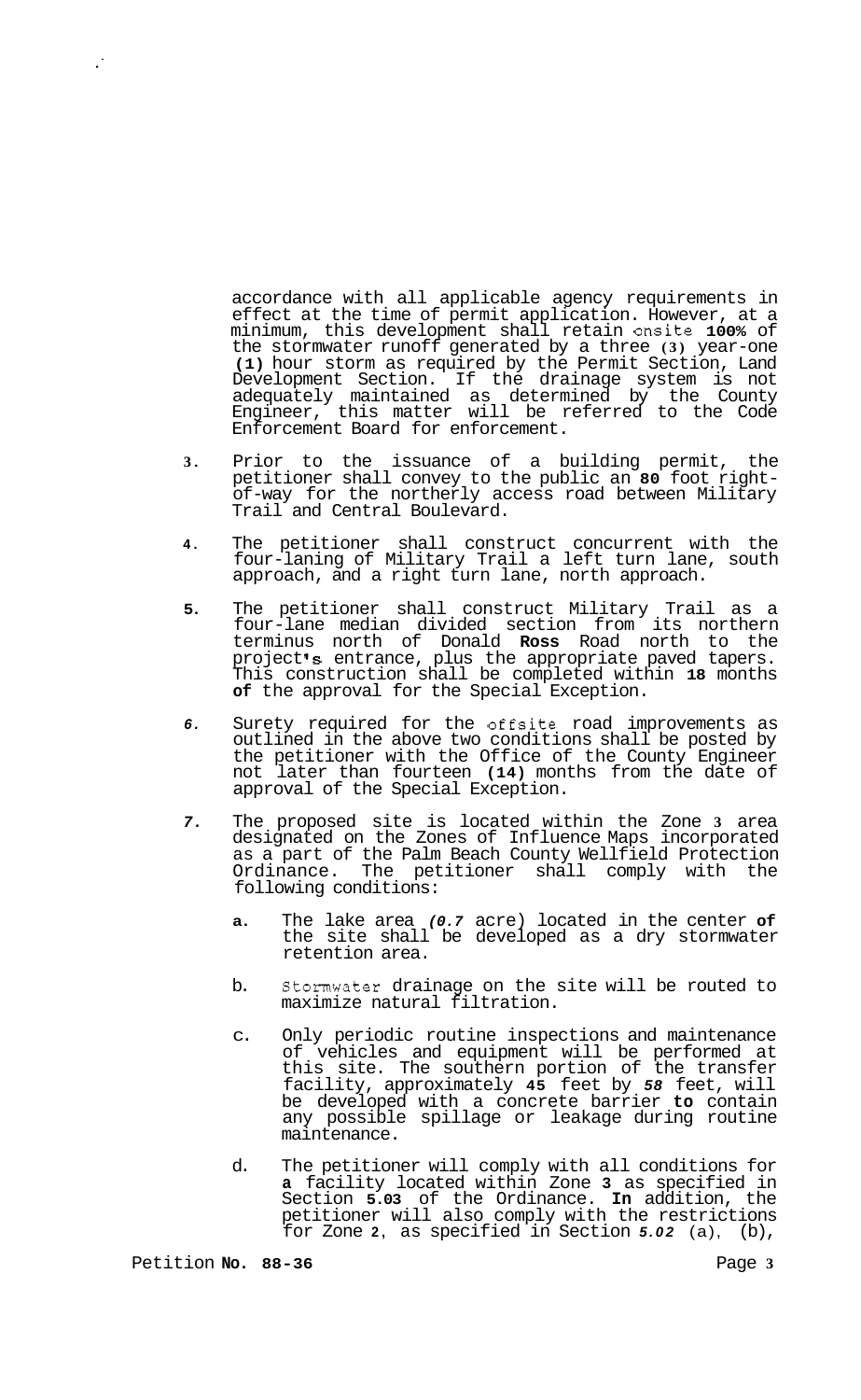accordance with all applicable agency requirements in effect at the time of permit application. However, at a minimum, this development shall retain onsite **100%** of the stormwater runoff generated by a three **(3)** year-one **(1)** hour storm as required by the Permit Section, Land Development Section. If the drainage system is not adequately maintained as determined by the County Engineer, this matter will be referred to the Code Enforcement Board for enforcement.

- **3.**  Prior to the issuance of a building permit, the petitioner shall convey to the public an **80** foot right- of-way for the northerly access road between Military Trail and Central Boulevard.
- **4.**  The petitioner shall construct concurrent with the four-laning of Military Trail a left turn lane, south approach, and a right turn lane, north approach.
- **5.**  The petitioner shall construct Military Trail as a four-lane median divided section from its northern terminus north of Donald **Ross** Road north to the project's entrance, plus the appropriate paved tapers. This construction shall be completed within **18** months **of** the approval for the Special Exception.
- *6.*  Surety required for the offsite road improvements as outlined in the above two conditions shall be posted by the petitioner with the Office of the County Engineer not later than fourteen **(14)** months from the date of approval of the Special Exception.
- *7.*  The proposed site is located within the Zone **3** area designated on the Zones of Influence Maps incorporated as a part of the Palm Beach County Wellfield Protection Ordinance. The petitioner shall comply with the following conditions:
	- **a.** The lake area *(0.7* acre) located in the center **of**  the site shall be developed as a dry stormwater retention area.
	- b. Stormwater drainage on the site will be routed to maximize natural filtration.
	- c. Only periodic routine inspections and maintenance of vehicles and equipment will be performed at this site. The southern portion of the transfer facility, approximately **45** feet by *58* feet, will be developed with a concrete barrier **to** contain any possible spillage or leakage during routine maintenance.
	- d. The petitioner will comply with all conditions for **a** facility located within Zone **3** as specified in Section **5.03** of the Ordinance. **In** addition, the petitioner will also comply with the restrictions for Zone **2,** as specified in Section *5.02* (a), (b),

 $\mathcal{L}$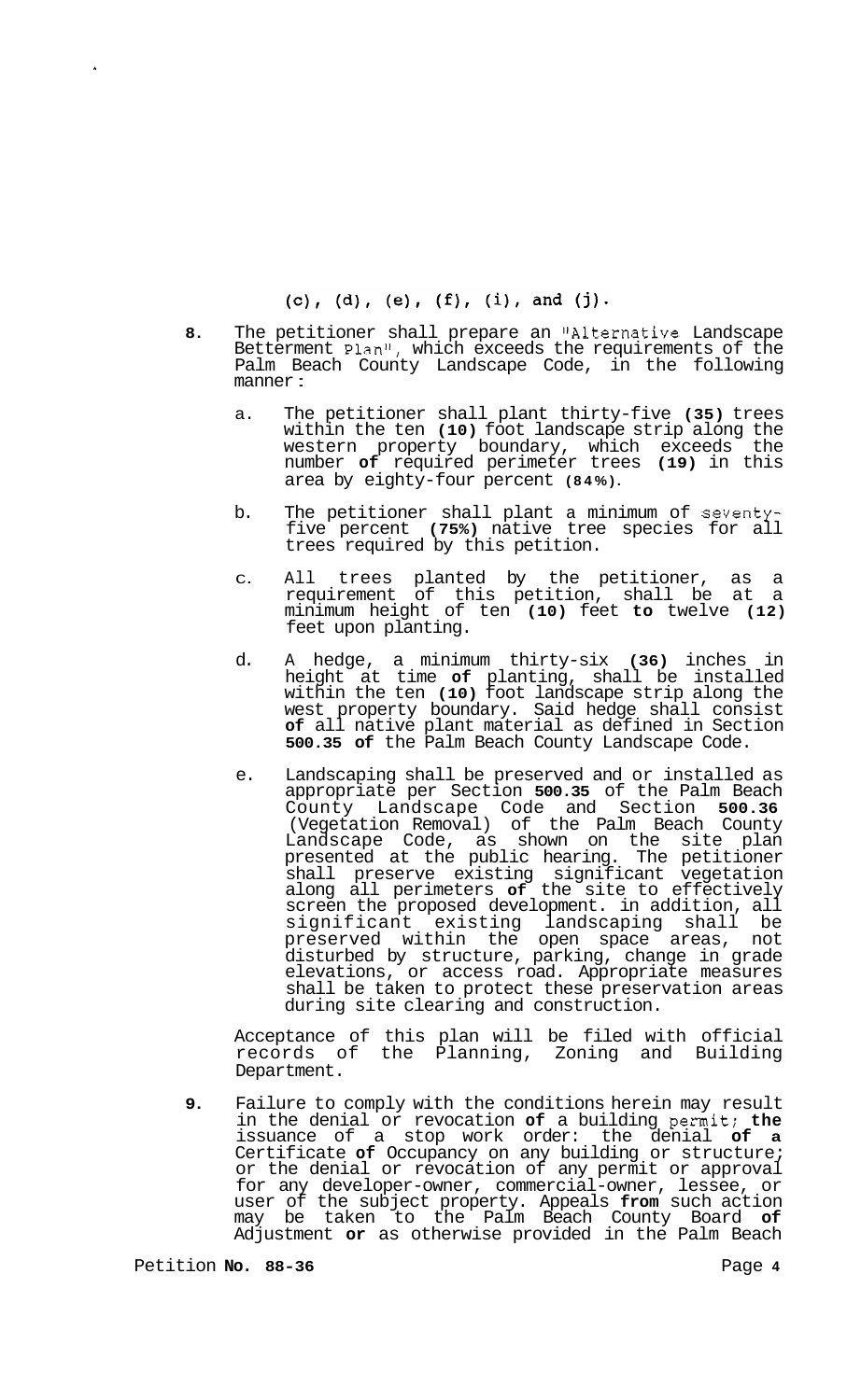- 8. The petitioner shall prepare an "Alternative Landscape Betterment Plan<sup> $n$ </sup>, which exceeds the requirements of the Palm Beach County Landscape Code, in the following manner :
	- a. The petitioner shall plant thirty-five **(35)** trees within the ten **(10)** foot landscape strip along the western property boundary, which exceeds the number **of** required perimeter trees **(19)** in this area by eighty-four percent **(84%).**
	- b. The petitioner shall plant a minimum of seventyfive percent **(75%)** native tree species for all trees required by this petition.
	- C. All trees planted by the petitioner, as a requirement of this petition, shall be at a minimum height of ten **(10)** feet **to** twelve **(12)**  feet upon planting.
	- d. A hedge, a minimum thirty-six **(36)** inches in height at time **of** planting, shall be installed within the ten **(10)** foot landscape strip along the west property boundary. Said hedge shall consist **of** all native plant material as defined in Section **500.35 of** the Palm Beach County Landscape Code.
	- e. Landscaping shall be preserved and or installed as appropriate per Section **500.35** of the Palm Beach County Landscape Code and Section **500.36**  (Vegetation Removal) of the Palm Beach County Landscape Code, as shown on the site plan presented at the public hearing. The petitioner shall preserve existing significant vegetation along all perimeters **of** the site to effectively screen the proposed development. in addition, all significant existing landscaping shall be preserved within the open space areas, not disturbed by structure, parking, change in grade elevations, or access road. Appropriate measures shall be taken to protect these preservation areas during site clearing and construction.

Acceptance of this plan will be filed with official records of the Planning, Zoning and Building Department.

**9.** Failure to comply with the conditions herein may result in the denial or revocation **of** a building permit; **the**  issuance of a stop work order: the denial **of a**  Certificate **of** Occupancy on any building or structure; or the denial or revocation of any permit or approval for any developer-owner, commercial-owner, lessee, or user of the subject property. Appeals **from** such action may be taken to the Palm Beach County Board **of**  Adjustment **or** as otherwise provided in the Palm Beach

Petition **No.** 88-36 **Page 4 Page 4**